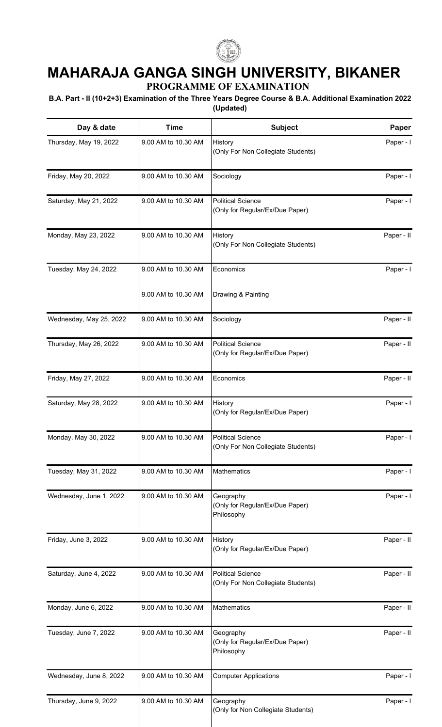

## **MAHARAJA GANGA SINGH UNIVERSITY, BIKANER**

**PROGRAMME OF EXAMINATION**

## **B.A. Part - II (10+2+3) Examination of the Three Years Degree Course & B.A. Additional Examination 2022 (Updated)**

| Day & date              | <b>Time</b>         | <b>Subject</b>                                                 | Paper      |
|-------------------------|---------------------|----------------------------------------------------------------|------------|
| Thursday, May 19, 2022  | 9.00 AM to 10.30 AM | History<br>(Only For Non Collegiate Students)                  | Paper - I  |
| Friday, May 20, 2022    | 9.00 AM to 10.30 AM | Sociology                                                      | Paper - I  |
| Saturday, May 21, 2022  | 9.00 AM to 10.30 AM | <b>Political Science</b><br>(Only for Regular/Ex/Due Paper)    | Paper - I  |
| Monday, May 23, 2022    | 9.00 AM to 10.30 AM | History<br>(Only For Non Collegiate Students)                  | Paper - II |
| Tuesday, May 24, 2022   | 9.00 AM to 10.30 AM | Economics                                                      | Paper - I  |
|                         | 9.00 AM to 10.30 AM | Drawing & Painting                                             |            |
| Wednesday, May 25, 2022 | 9.00 AM to 10.30 AM | Sociology                                                      | Paper - II |
| Thursday, May 26, 2022  | 9.00 AM to 10.30 AM | <b>Political Science</b><br>(Only for Regular/Ex/Due Paper)    | Paper - II |
| Friday, May 27, 2022    | 9.00 AM to 10.30 AM | Economics                                                      | Paper - II |
| Saturday, May 28, 2022  | 9.00 AM to 10.30 AM | History<br>(Only for Regular/Ex/Due Paper)                     | Paper - I  |
| Monday, May 30, 2022    | 9.00 AM to 10.30 AM | <b>Political Science</b><br>(Only For Non Collegiate Students) | Paper - I  |
| Tuesday, May 31, 2022   | 9.00 AM to 10.30 AM | Mathematics                                                    | Paper - I  |
| Wednesday, June 1, 2022 | 9.00 AM to 10.30 AM | Geography<br>(Only for Regular/Ex/Due Paper)<br>Philosophy     | Paper - I  |
| Friday, June 3, 2022    | 9.00 AM to 10.30 AM | History<br>(Only for Regular/Ex/Due Paper)                     | Paper - II |
| Saturday, June 4, 2022  | 9.00 AM to 10.30 AM | <b>Political Science</b><br>(Only For Non Collegiate Students) | Paper - II |
| Monday, June 6, 2022    | 9.00 AM to 10.30 AM | Mathematics                                                    | Paper - II |
| Tuesday, June 7, 2022   | 9.00 AM to 10.30 AM | Geography<br>(Only for Regular/Ex/Due Paper)<br>Philosophy     | Paper - II |
| Wednesday, June 8, 2022 | 9.00 AM to 10.30 AM | <b>Computer Applications</b>                                   | Paper - I  |
| Thursday, June 9, 2022  | 9.00 AM to 10.30 AM | Geography<br>(Only for Non Collegiate Students)                | Paper - I  |